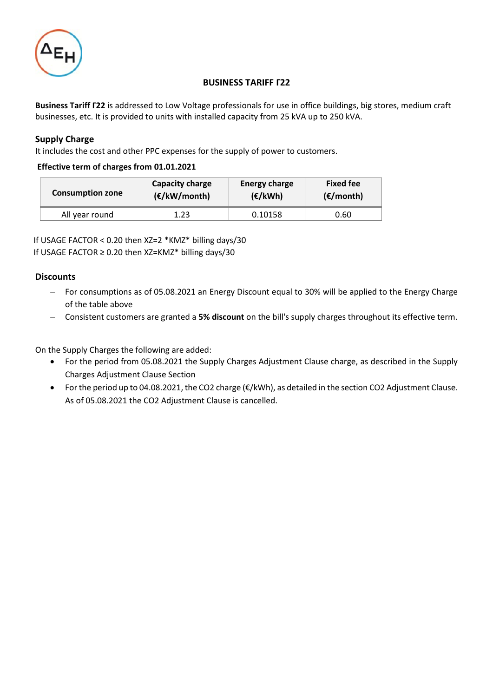

## **BUSINESS TARIFF Γ22**

**Business Tariff Γ22** is addressed to Low Voltage professionals for use in office buildings, big stores, medium craft businesses, etc. It is provided to units with installed capacity from 25 kVA up to 250 kVA.

## **Supply Charge**

It includes the cost and other PPC expenses for the supply of power to customers.

### **Effective term of charges from 01.01.2021**

| <b>Consumption zone</b> | Capacity charge | <b>Energy charge</b> | <b>Fixed fee</b>    |  |
|-------------------------|-----------------|----------------------|---------------------|--|
|                         | (E/KW/month)    | $(\epsilon/kWh)$     | $(\epsilon$ /month) |  |
| All year round          | 1.23            | 0.10158              | 0.60                |  |

 If USAGE FACTOR < 0.20 then XZ=2 \*ΚΜZ\* billing days/30 If USAGE FACTOR ≥ 0.20 then XZ=ΚΜZ\* billing days/30

### **Discounts**

- − For consumptions as of 05.08.2021 an Energy Discount equal to 30% will be applied to the Energy Charge of the table above
- − Consistent customers are granted a **5% discount** on the bill's supply charges throughout its effective term.

On the Supply Charges the following are added:

- For the period from 05.08.2021 the Supply Charges Adjustment Clause charge, as described in the Supply Charges Adjustment Clause Section
- For the period up to 04.08.2021, the CO2 charge (€/kWh), as detailed in the section CO2 Adjustment Clause. As of 05.08.2021 the CO2 Adjustment Clause is cancelled.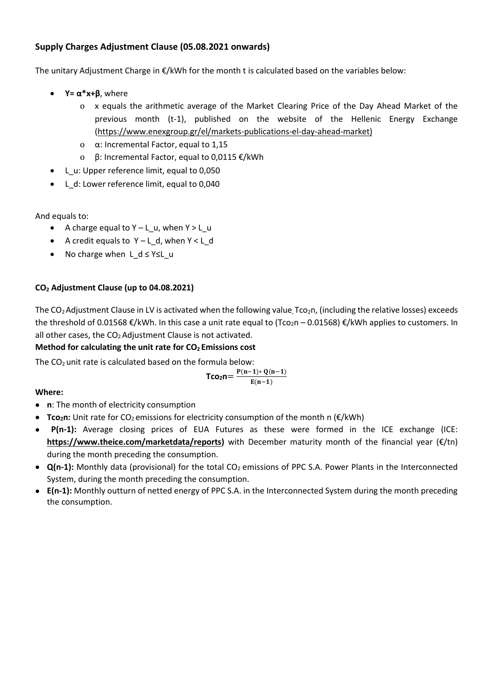# **Supply Charges Adjustment Clause (05.08.2021 onwards)**

The unitary Adjustment Charge in €/kWh for the month t is calculated based on the variables below:

- **Y**=  $\alpha^*$ **x**+ $\beta$ , where
	- o x equals the arithmetic average of the Market Clearing Price of the Day Ahead Market of the previous month (t-1), published on the website of the Hellenic Energy Exchange [\(https://www.enexgroup.gr/el/markets-publications-el-day-ahead-market\)](https://www.enexgroup.gr/el/markets-publications-el-day-ahead-market)
	- o α: Incremental Factor, equal to 1,15
	- o β: Incremental Factor, equal to 0,0115 €/kWh
- L\_u: Upper reference limit, equal to 0,050
- L\_d: Lower reference limit, equal to 0,040

And equals to:

- A charge equal to Υ L\_u, when Y > L\_u
- A credit equals to Υ L\_d, when Υ < L\_d
- No charge when L d ≤ Y≤L u

## **CO<sup>2</sup> Adjustment Clause (up to 04.08.2021)**

The  $CO<sub>2</sub>$ Adjustment Clause in LV is activated when the following value, Tco<sub>2</sub>n, (including the relative losses) exceeds the threshold of 0.01568  $\epsilon$ /kWh. In this case a unit rate equal to (Tco<sub>2</sub>n – 0.01568)  $\epsilon$ /kWh applies to customers. In all other cases, the  $CO<sub>2</sub>$  Adjustment Clause is not activated.

# **Method for calculating the unit rate for CO<sup>2</sup> Emissions cost**

The  $CO<sub>2</sub>$  unit rate is calculated based on the formula below:

$$
\text{Tco}_2n\text{=}\frac{P(n-1)*Q(n-1)}{E(n-1)}
$$

**Where:**

- **n**: The month of electricity consumption
- **Tco2n:** Unit rate for CO2 emissions for electricity consumption of the month n (€/kWh)
- **P(n-1):** Average closing prices of EUA Futures as these were formed in the ICE exchange (ICE: **[https://www.theice.com/marketdata/reports\)](https://www.theice.com/marketdata/reports)** with December maturity month of the financial year (€/tn) during the month preceding the consumption.
- **Q(n-1):** Monthly data (provisional) for the total CO<sub>2</sub> emissions of PPC S.A. Power Plants in the Interconnected System, during the month preceding the consumption.
- **Ε(n-1):** Monthly outturn of netted energy of PPC S.A. in the Interconnected System during the month preceding the consumption.